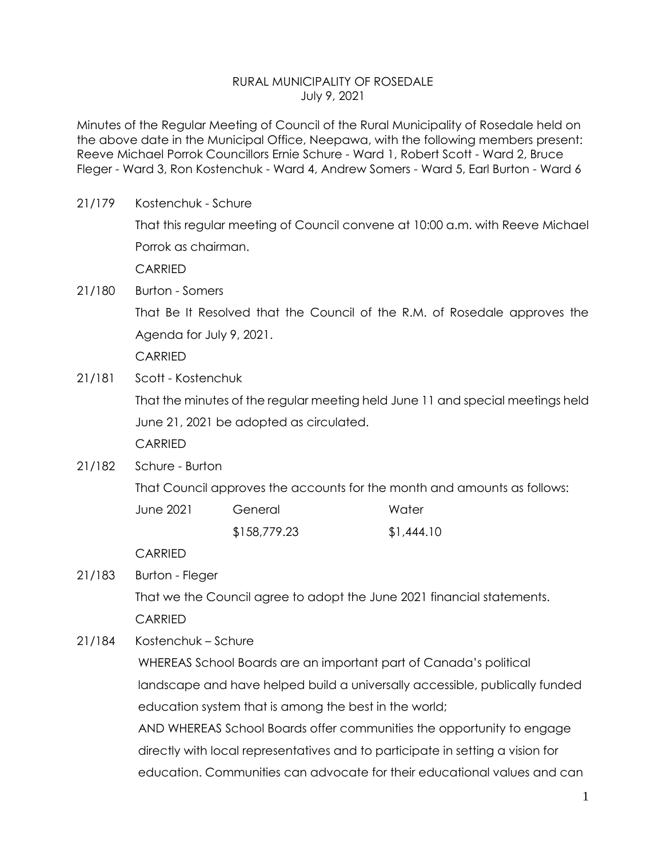## RURAL MUNICIPALITY OF ROSEDALE July 9, 2021

Minutes of the Regular Meeting of Council of the Rural Municipality of Rosedale held on the above date in the Municipal Office, Neepawa, with the following members present: Reeve Michael Porrok Councillors Ernie Schure - Ward 1, Robert Scott - Ward 2, Bruce Fleger - Ward 3, Ron Kostenchuk - Ward 4, Andrew Somers - Ward 5, Earl Burton - Ward 6

| 21/179 | Kostenchuk - Schure                                                            |              |            |
|--------|--------------------------------------------------------------------------------|--------------|------------|
|        | That this regular meeting of Council convene at 10:00 a.m. with Reeve Michael  |              |            |
|        | Porrok as chairman.                                                            |              |            |
|        | <b>CARRIED</b>                                                                 |              |            |
| 21/180 | <b>Burton - Somers</b>                                                         |              |            |
|        | That Be It Resolved that the Council of the R.M. of Rosedale approves the      |              |            |
|        | Agenda for July 9, 2021.                                                       |              |            |
|        | <b>CARRIED</b>                                                                 |              |            |
| 21/181 | Scott - Kostenchuk                                                             |              |            |
|        | That the minutes of the regular meeting held June 11 and special meetings held |              |            |
|        | June 21, 2021 be adopted as circulated.                                        |              |            |
|        | <b>CARRIED</b>                                                                 |              |            |
| 21/182 | Schure - Burton                                                                |              |            |
|        | That Council approves the accounts for the month and amounts as follows:       |              |            |
|        | <b>June 2021</b>                                                               | General      | Water      |
|        |                                                                                | \$158,779.23 | \$1,444.10 |
|        | <b>CARRIED</b>                                                                 |              |            |
| 21/183 | <b>Burton - Fleger</b>                                                         |              |            |
|        | That we the Council agree to adopt the June 2021 financial statements.         |              |            |
|        | <b>CARRIED</b>                                                                 |              |            |
| 21/184 | Kostenchuk – Schure                                                            |              |            |
|        | WHEREAS School Boards are an important part of Canada's political              |              |            |
|        | landscape and have helped build a universally accessible, publically funded    |              |            |
|        | education system that is among the best in the world;                          |              |            |

AND WHEREAS School Boards offer communities the opportunity to engage directly with local representatives and to participate in setting a vision for education. Communities can advocate for their educational values and can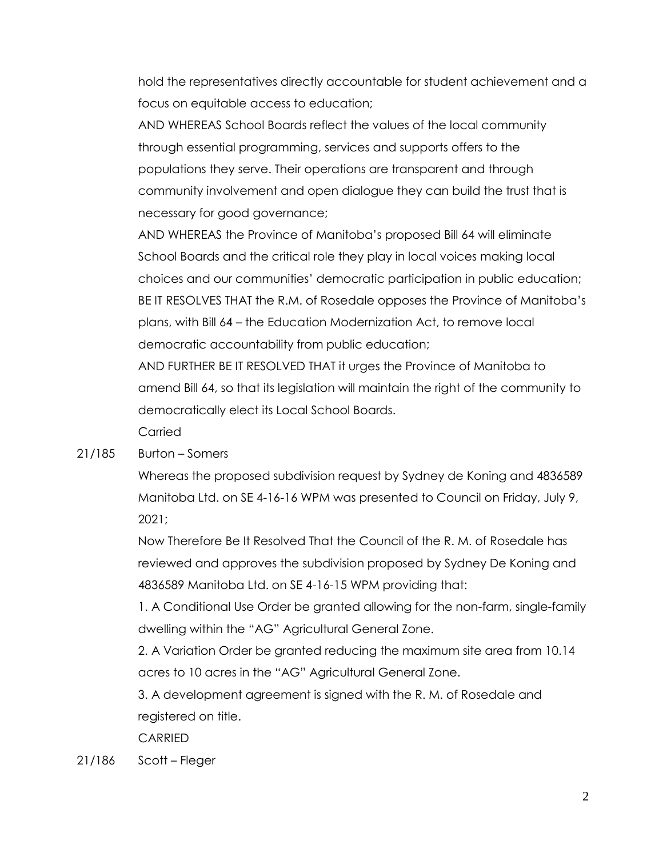hold the representatives directly accountable for student achievement and a focus on equitable access to education;

AND WHEREAS School Boards reflect the values of the local community through essential programming, services and supports offers to the populations they serve. Their operations are transparent and through community involvement and open dialogue they can build the trust that is necessary for good governance;

AND WHEREAS the Province of Manitoba's proposed Bill 64 will eliminate School Boards and the critical role they play in local voices making local choices and our communities' democratic participation in public education; BE IT RESOLVES THAT the R.M. of Rosedale opposes the Province of Manitoba's plans, with Bill 64 – the Education Modernization Act, to remove local democratic accountability from public education;

AND FURTHER BE IT RESOLVED THAT it urges the Province of Manitoba to amend Bill 64, so that its legislation will maintain the right of the community to democratically elect its Local School Boards.

Carried

## 21/185 Burton – Somers

Whereas the proposed subdivision request by Sydney de Koning and 4836589 Manitoba Ltd. on SE 4-16-16 WPM was presented to Council on Friday, July 9, 2021;

Now Therefore Be It Resolved That the Council of the R. M. of Rosedale has reviewed and approves the subdivision proposed by Sydney De Koning and 4836589 Manitoba Ltd. on SE 4-16-15 WPM providing that:

1. A Conditional Use Order be granted allowing for the non-farm, single-family dwelling within the "AG" Agricultural General Zone.

2. A Variation Order be granted reducing the maximum site area from 10.14 acres to 10 acres in the "AG" Agricultural General Zone.

3. A development agreement is signed with the R. M. of Rosedale and registered on title.

CARRIED

21/186 Scott – Fleger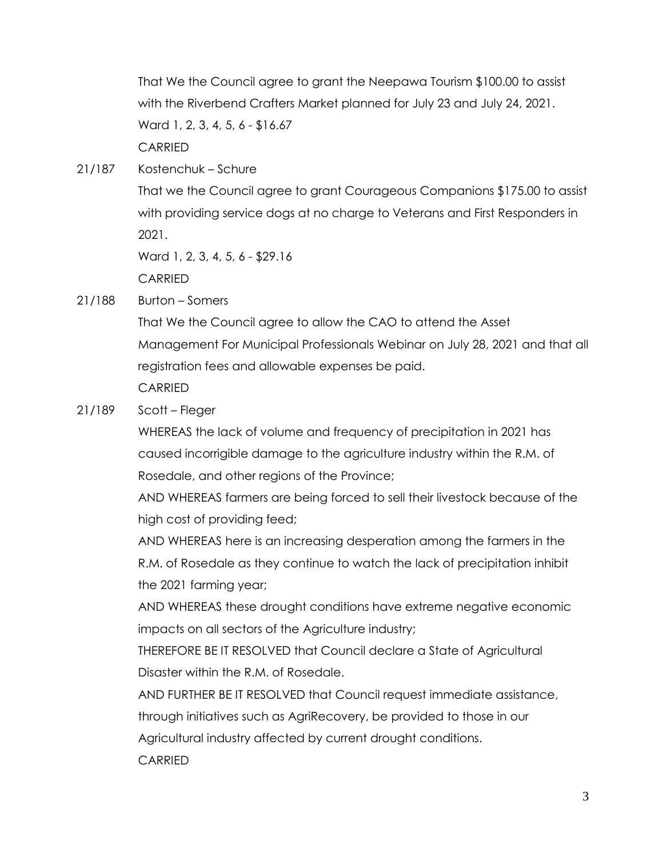That We the Council agree to grant the Neepawa Tourism \$100.00 to assist with the Riverbend Crafters Market planned for July 23 and July 24, 2021. Ward 1, 2, 3, 4, 5, 6 - \$16.67 CARRIED

21/187 Kostenchuk – Schure

That we the Council agree to grant Courageous Companions \$175.00 to assist with providing service dogs at no charge to Veterans and First Responders in 2021.

Ward 1, 2, 3, 4, 5, 6 - \$29.16

CARRIED

21/188 Burton – Somers

That We the Council agree to allow the CAO to attend the Asset Management For Municipal Professionals Webinar on July 28, 2021 and that all registration fees and allowable expenses be paid. CARRIED

21/189 Scott – Fleger

WHEREAS the lack of volume and frequency of precipitation in 2021 has caused incorrigible damage to the agriculture industry within the R.M. of Rosedale, and other regions of the Province;

AND WHEREAS farmers are being forced to sell their livestock because of the high cost of providing feed;

AND WHEREAS here is an increasing desperation among the farmers in the R.M. of Rosedale as they continue to watch the lack of precipitation inhibit the 2021 farming year;

AND WHEREAS these drought conditions have extreme negative economic impacts on all sectors of the Agriculture industry;

THEREFORE BE IT RESOLVED that Council declare a State of Agricultural Disaster within the R.M. of Rosedale.

AND FURTHER BE IT RESOLVED that Council request immediate assistance,

through initiatives such as AgriRecovery, be provided to those in our

Agricultural industry affected by current drought conditions.

CARRIED